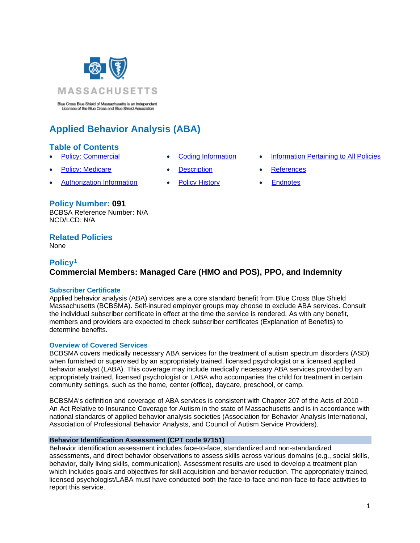

Blue Cross Blue Shield of Massachusetts is an Independent Licenses of the Blue Cross and Blue Shield Association

# **Applied Behavior Analysis (ABA)**

### **Table of Contents**

- 
- **Policy: Medicare [Description](#page-5-1) [References](#page-5-2)**
- [Authorization Information](#page-3-0) [Policy History](#page-5-3) [Endnotes](#page-6-0)
	-

**Policy Number: 091** BCBSA Reference Number: N/A NCD/LCD: N/A

### **Related Policies**

None

# <span id="page-0-0"></span>**Policy<sup>1</sup> Commercial Members: Managed Care (HMO and POS), PPO, and Indemnity**

### **Subscriber Certificate**

Applied behavior analysis (ABA) services are a core standard benefit from Blue Cross Blue Shield Massachusetts (BCBSMA). Self-insured employer groups may choose to exclude ABA services. Consult the individual subscriber certificate in effect at the time the service is rendered. As with any benefit, members and providers are expected to check subscriber certificates (Explanation of Benefits) to determine benefits.

#### **Overview of Covered Services**

BCBSMA covers medically necessary ABA services for the treatment of autism spectrum disorders (ASD) when furnished or supervised by an appropriately trained, licensed psychologist or a licensed applied behavior analyst (LABA). This coverage may include medically necessary ABA services provided by an appropriately trained, licensed psychologist or LABA who accompanies the child for treatment in certain community settings, such as the home, center (office), daycare, preschool, or camp.

BCBSMA's definition and coverage of ABA services is consistent with Chapter 207 of the Acts of 2010 - An Act Relative to Insurance Coverage for Autism in the state of Massachusetts and is in accordance with national standards of applied behavior analysis societies (Association for Behavior Analysis International, Association of Professional Behavior Analysts, and Council of Autism Service Providers).

#### **Behavior Identification Assessment (CPT code 97151)**

Behavior identification assessment includes face-to-face, standardized and non-standardized assessments, and direct behavior observations to assess skills across various domains (e.g., social skills, behavior, daily living skills, communication). Assessment results are used to develop a treatment plan which includes goals and objectives for skill acquisition and behavior reduction. The appropriately trained, licensed psychologist/LABA must have conducted both the face-to-face and non-face-to-face activities to report this service.

- 
- 
- 
- [Policy: Commercial](#page-0-0) [Coding Information](#page-4-0) [Information Pertaining to All Policies](#page-5-0)
	-
	-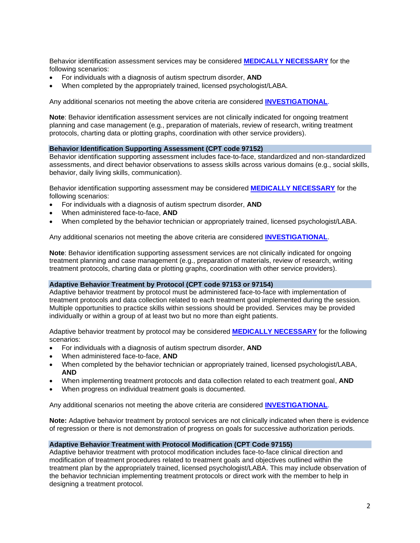Behavior identification assessment services may be considered **[MEDICALLY NECESSARY](https://www.bluecrossma.org/medical-policies/sites/g/files/csphws2091/files/acquiadam-assets/Definition%20of%20Med%20Nec%20Inv%20Not%20Med%20Nec%20prn.pdf#page=1)** for the following scenarios:

- For individuals with a diagnosis of autism spectrum disorder, **AND**
- When completed by the appropriately trained, licensed psychologist/LABA.

Any additional scenarios not meeting the above criteria are considered **[INVESTIGATIONAL](https://www.bluecrossma.com/common/en_US/medical_policies/Definition%20of%20Med%20Nec%20Inv%20Not%20Med%20Nec%20prn.pdf#page=1)**.

**Note**: Behavior identification assessment services are not clinically indicated for ongoing treatment planning and case management (e.g., preparation of materials, review of research, writing treatment protocols, charting data or plotting graphs, coordination with other service providers).

### **Behavior Identification Supporting Assessment (CPT code 97152)**

Behavior identification supporting assessment includes face-to-face, standardized and non-standardized assessments, and direct behavior observations to assess skills across various domains (e.g., social skills, behavior, daily living skills, communication).

Behavior identification supporting assessment may be considered **[MEDICALLY NECESSARY](https://www.bluecrossma.org/medical-policies/sites/g/files/csphws2091/files/acquiadam-assets/Definition%20of%20Med%20Nec%20Inv%20Not%20Med%20Nec%20prn.pdf#page=1)** for the following scenarios:

- For individuals with a diagnosis of autism spectrum disorder, **AND**
- When administered face-to-face, **AND**
- When completed by the behavior technician or appropriately trained, licensed psychologist/LABA.

Any additional scenarios not meeting the above criteria are considered **[INVESTIGATIONAL](https://www.bluecrossma.com/common/en_US/medical_policies/Definition%20of%20Med%20Nec%20Inv%20Not%20Med%20Nec%20prn.pdf#page=1)**.

**Note:** Behavior identification supporting assessment services are not clinically indicated for ongoing treatment planning and case management (e.g., preparation of materials, review of research, writing treatment protocols, charting data or plotting graphs, coordination with other service providers).

#### **Adaptive Behavior Treatment by Protocol (CPT code 97153 or 97154)**

Adaptive behavior treatment by protocol must be administered face-to-face with implementation of treatment protocols and data collection related to each treatment goal implemented during the session. Multiple opportunities to practice skills within sessions should be provided. Services may be provided individually or within a group of at least two but no more than eight patients.

Adaptive behavior treatment by protocol may be considered **[MEDICALLY NECESSARY](https://www.bluecrossma.org/medical-policies/sites/g/files/csphws2091/files/acquiadam-assets/Definition%20of%20Med%20Nec%20Inv%20Not%20Med%20Nec%20prn.pdf#page=1)** for the following scenarios:

- For individuals with a diagnosis of autism spectrum disorder, **AND**
- When administered face-to-face, **AND**
- When completed by the behavior technician or appropriately trained, licensed psychologist/LABA, **AND**
- When implementing treatment protocols and data collection related to each treatment goal, **AND**
- When progress on individual treatment goals is documented.

Any additional scenarios not meeting the above criteria are considered **[INVESTIGATIONAL](https://www.bluecrossma.com/common/en_US/medical_policies/Definition%20of%20Med%20Nec%20Inv%20Not%20Med%20Nec%20prn.pdf#page=1)**.

**Note:** Adaptive behavior treatment by protocol services are not clinically indicated when there is evidence of regression or there is not demonstration of progress on goals for successive authorization periods.

#### **Adaptive Behavior Treatment with Protocol Modification (CPT Code 97155)**

Adaptive behavior treatment with protocol modification includes face-to-face clinical direction and modification of treatment procedures related to treatment goals and objectives outlined within the treatment plan by the appropriately trained, licensed psychologist/LABA. This may include observation of the behavior technician implementing treatment protocols or direct work with the member to help in designing a treatment protocol.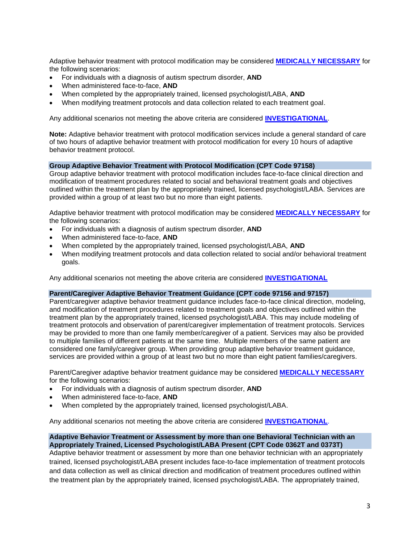Adaptive behavior treatment with protocol modification may be considered **[MEDICALLY NECESSARY](https://www.bluecrossma.org/medical-policies/sites/g/files/csphws2091/files/acquiadam-assets/Definition%20of%20Med%20Nec%20Inv%20Not%20Med%20Nec%20prn.pdf#page=1)** for the following scenarios:

- For individuals with a diagnosis of autism spectrum disorder, **AND**
- When administered face-to-face, **AND**
- When completed by the appropriately trained, licensed psychologist/LABA, **AND**
- When modifying treatment protocols and data collection related to each treatment goal.

Any additional scenarios not meeting the above criteria are considered **[INVESTIGATIONAL](https://www.bluecrossma.com/common/en_US/medical_policies/Definition%20of%20Med%20Nec%20Inv%20Not%20Med%20Nec%20prn.pdf#page=1)**.

**Note:** Adaptive behavior treatment with protocol modification services include a general standard of care of two hours of adaptive behavior treatment with protocol modification for every 10 hours of adaptive behavior treatment protocol.

#### **Group Adaptive Behavior Treatment with Protocol Modification (CPT Code 97158)**

Group adaptive behavior treatment with protocol modification includes face-to-face clinical direction and modification of treatment procedures related to social and behavioral treatment goals and objectives outlined within the treatment plan by the appropriately trained, licensed psychologist/LABA. Services are provided within a group of at least two but no more than eight patients.

Adaptive behavior treatment with protocol modification may be considered **[MEDICALLY NECESSARY](https://www.bluecrossma.org/medical-policies/sites/g/files/csphws2091/files/acquiadam-assets/Definition%20of%20Med%20Nec%20Inv%20Not%20Med%20Nec%20prn.pdf#page=1)** for the following scenarios:

- For individuals with a diagnosis of autism spectrum disorder, **AND**
- When administered face-to-face, **AND**
- When completed by the appropriately trained, licensed psychologist/LABA, **AND**
- When modifying treatment protocols and data collection related to social and/or behavioral treatment goals.

Any additional scenarios not meeting the above criteria are considered **[INVESTIGATIONAL](https://www.bluecrossma.com/common/en_US/medical_policies/Definition%20of%20Med%20Nec%20Inv%20Not%20Med%20Nec%20prn.pdf#page=1)**

#### **Parent/Caregiver Adaptive Behavior Treatment Guidance (CPT code 97156 and 97157)**

Parent/caregiver adaptive behavior treatment guidance includes face-to-face clinical direction, modeling, and modification of treatment procedures related to treatment goals and objectives outlined within the treatment plan by the appropriately trained, licensed psychologist/LABA. This may include modeling of treatment protocols and observation of parent/caregiver implementation of treatment protocols. Services may be provided to more than one family member/caregiver of a patient. Services may also be provided to multiple families of different patients at the same time. Multiple members of the same patient are considered one family/caregiver group. When providing group adaptive behavior treatment guidance, services are provided within a group of at least two but no more than eight patient families/caregivers.

Parent/Caregiver adaptive behavior treatment guidance may be considered **[MEDICALLY NECESSARY](https://www.bluecrossma.org/medical-policies/sites/g/files/csphws2091/files/acquiadam-assets/Definition%20of%20Med%20Nec%20Inv%20Not%20Med%20Nec%20prn.pdf#page=1)** for the following scenarios:

- For individuals with a diagnosis of autism spectrum disorder, **AND**
- When administered face-to-face, **AND**
- When completed by the appropriately trained, licensed psychologist/LABA.

Any additional scenarios not meeting the above criteria are considered **[INVESTIGATIONAL](https://www.bluecrossma.com/common/en_US/medical_policies/Definition%20of%20Med%20Nec%20Inv%20Not%20Med%20Nec%20prn.pdf#page=1)**.

### **Adaptive Behavior Treatment or Assessment by more than one Behavioral Technician with an Appropriately Trained, Licensed Psychologist/LABA Present (CPT Code 0362T and 0373T)**

Adaptive behavior treatment or assessment by more than one behavior technician with an appropriately trained, licensed psychologist/LABA present includes face-to-face implementation of treatment protocols and data collection as well as clinical direction and modification of treatment procedures outlined within the treatment plan by the appropriately trained, licensed psychologist/LABA. The appropriately trained,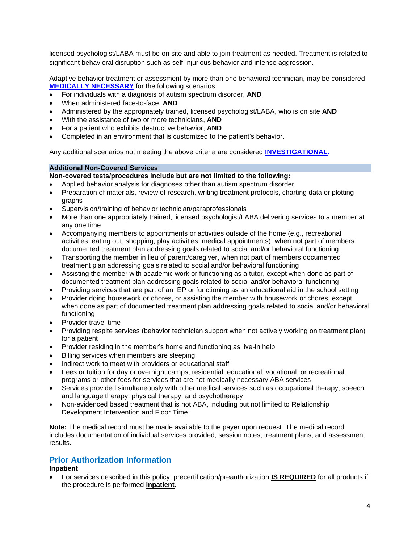licensed psychologist/LABA must be on site and able to join treatment as needed. Treatment is related to significant behavioral disruption such as self-injurious behavior and intense aggression.

Adaptive behavior treatment or assessment by more than one behavioral technician, may be considered **[MEDICALLY NECESSARY](https://www.bluecrossma.org/medical-policies/sites/g/files/csphws2091/files/acquiadam-assets/Definition%20of%20Med%20Nec%20Inv%20Not%20Med%20Nec%20prn.pdf#page=1)** for the following scenarios:

- For individuals with a diagnosis of autism spectrum disorder, **AND**
- When administered face-to-face, **AND**
- Administered by the appropriately trained, licensed psychologist/LABA, who is on site **AND**
- With the assistance of two or more technicians, **AND**
- For a patient who exhibits destructive behavior, **AND**
- Completed in an environment that is customized to the patient's behavior.

Any additional scenarios not meeting the above criteria are considered **[INVESTIGATIONAL](https://www.bluecrossma.com/common/en_US/medical_policies/Definition%20of%20Med%20Nec%20Inv%20Not%20Med%20Nec%20prn.pdf#page=1)**.

#### **Additional Non-Covered Services**

**Non-covered tests/procedures include but are not limited to the following:**

- Applied behavior analysis for diagnoses other than autism spectrum disorder
- Preparation of materials, review of research, writing treatment protocols, charting data or plotting graphs
- Supervision/training of behavior technician/paraprofessionals
- More than one appropriately trained, licensed psychologist/LABA delivering services to a member at any one time
- Accompanying members to appointments or activities outside of the home (e.g., recreational activities, eating out, shopping, play activities, medical appointments), when not part of members documented treatment plan addressing goals related to social and/or behavioral functioning
- Transporting the member in lieu of parent/caregiver, when not part of members documented treatment plan addressing goals related to social and/or behavioral functioning
- Assisting the member with academic work or functioning as a tutor, except when done as part of documented treatment plan addressing goals related to social and/or behavioral functioning
- Providing services that are part of an IEP or functioning as an educational aid in the school setting
- Provider doing housework or chores, or assisting the member with housework or chores, except when done as part of documented treatment plan addressing goals related to social and/or behavioral functioning
- Provider travel time
- Providing respite services (behavior technician support when not actively working on treatment plan) for a patient
- Provider residing in the member's home and functioning as live-in help
- Billing services when members are sleeping
- Indirect work to meet with providers or educational staff
- Fees or tuition for day or overnight camps, residential, educational, vocational, or recreational. programs or other fees for services that are not medically necessary ABA services
- Services provided simultaneously with other medical services such as occupational therapy, speech and language therapy, physical therapy, and psychotherapy
- Non-evidenced based treatment that is not ABA, including but not limited to Relationship Development Intervention and Floor Time.

**Note:** The medical record must be made available to the payer upon request. The medical record includes documentation of individual services provided, session notes, treatment plans, and assessment results.

### <span id="page-3-0"></span>**Prior Authorization Information**

### **Inpatient**

• For services described in this policy, precertification/preauthorization **IS REQUIRED** for all products if the procedure is performed **inpatient**.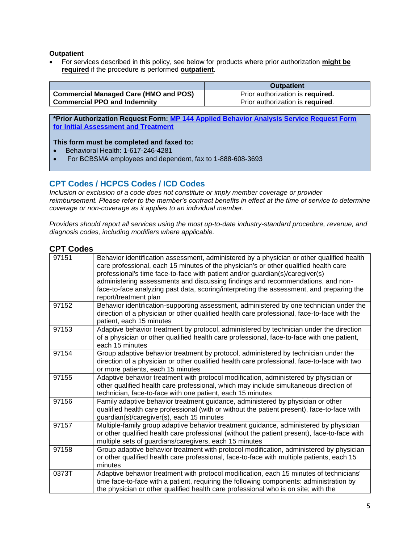### **Outpatient**

• For services described in this policy, see below for products where prior authorization **might be required** if the procedure is performed **outpatient**.

|                                                    | <b>Outpatient</b>                |
|----------------------------------------------------|----------------------------------|
| <sup>1</sup> Commercial Managed Care (HMO and POS) | Prior authorization is required. |
| <b>Commercial PPO and Indemnity</b>                | Prior authorization is required. |

**\*Prior Authorization Request Form: [MP 144 Applied Behavior Analysis Service Request Form](https://www.bluecrossma.org/medical-policies/sites/g/files/csphws2091/files/acquiadam-assets/144%20Applied%20Behavior%20Analysis%20Service%20Request%20Form%20prn.pdf)  [for Initial Assessment and Treatment](https://www.bluecrossma.org/medical-policies/sites/g/files/csphws2091/files/acquiadam-assets/144%20Applied%20Behavior%20Analysis%20Service%20Request%20Form%20prn.pdf)**

#### **This form must be completed and faxed to:**

- Behavioral Health: 1-617-246-4281
- For BCBSMA employees and dependent, fax to 1-888-608-3693

## <span id="page-4-0"></span>**CPT Codes / HCPCS Codes / ICD Codes**

*Inclusion or exclusion of a code does not constitute or imply member coverage or provider reimbursement. Please refer to the member's contract benefits in effect at the time of service to determine coverage or non-coverage as it applies to an individual member.*

*Providers should report all services using the most up-to-date industry-standard procedure, revenue, and diagnosis codes, including modifiers where applicable.*

### **CPT Codes**

| 97151 | Behavior identification assessment, administered by a physician or other qualified health<br>care professional, each 15 minutes of the physician's or other qualified health care<br>professional's time face-to-face with patient and/or guardian(s)/caregiver(s)<br>administering assessments and discussing findings and recommendations, and non-<br>face-to-face analyzing past data, scoring/interpreting the assessment, and preparing the<br>report/treatment plan |
|-------|----------------------------------------------------------------------------------------------------------------------------------------------------------------------------------------------------------------------------------------------------------------------------------------------------------------------------------------------------------------------------------------------------------------------------------------------------------------------------|
| 97152 | Behavior identification-supporting assessment, administered by one technician under the<br>direction of a physician or other qualified health care professional, face-to-face with the<br>patient, each 15 minutes                                                                                                                                                                                                                                                         |
| 97153 | Adaptive behavior treatment by protocol, administered by technician under the direction<br>of a physician or other qualified health care professional, face-to-face with one patient,<br>each 15 minutes                                                                                                                                                                                                                                                                   |
| 97154 | Group adaptive behavior treatment by protocol, administered by technician under the<br>direction of a physician or other qualified health care professional, face-to-face with two<br>or more patients, each 15 minutes                                                                                                                                                                                                                                                    |
| 97155 | Adaptive behavior treatment with protocol modification, administered by physician or<br>other qualified health care professional, which may include simultaneous direction of<br>technician, face-to-face with one patient, each 15 minutes                                                                                                                                                                                                                                |
| 97156 | Family adaptive behavior treatment guidance, administered by physician or other<br>qualified health care professional (with or without the patient present), face-to-face with<br>guardian(s)/caregiver(s), each 15 minutes                                                                                                                                                                                                                                                |
| 97157 | Multiple-family group adaptive behavior treatment guidance, administered by physician<br>or other qualified health care professional (without the patient present), face-to-face with<br>multiple sets of guardians/caregivers, each 15 minutes                                                                                                                                                                                                                            |
| 97158 | Group adaptive behavior treatment with protocol modification, administered by physician<br>or other qualified health care professional, face-to-face with multiple patients, each 15<br>minutes                                                                                                                                                                                                                                                                            |
| 0373T | Adaptive behavior treatment with protocol modification, each 15 minutes of technicians'<br>time face-to-face with a patient, requiring the following components: administration by<br>the physician or other qualified health care professional who is on site; with the                                                                                                                                                                                                   |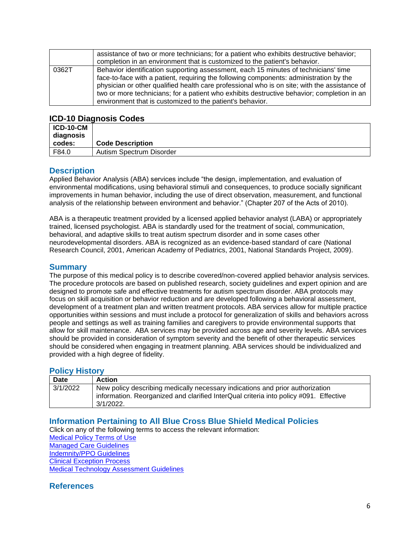|       | assistance of two or more technicians; for a patient who exhibits destructive behavior;<br>completion in an environment that is customized to the patient's behavior.                                                                                                                                                                                                                                                                    |
|-------|------------------------------------------------------------------------------------------------------------------------------------------------------------------------------------------------------------------------------------------------------------------------------------------------------------------------------------------------------------------------------------------------------------------------------------------|
| 0362T | Behavior identification supporting assessment, each 15 minutes of technicians' time<br>face-to-face with a patient, requiring the following components: administration by the<br>physician or other qualified health care professional who is on site; with the assistance of<br>two or more technicians; for a patient who exhibits destructive behavior; completion in an<br>environment that is customized to the patient's behavior. |

### **ICD-10 Diagnosis Codes**

| <b>ICD-10-CM</b><br>diagnosis |                          |
|-------------------------------|--------------------------|
| codes:                        | <b>Code Description</b>  |
| F84.0                         | Autism Spectrum Disorder |

### <span id="page-5-1"></span>**Description**

Applied Behavior Analysis (ABA) services include "the design, implementation, and evaluation of environmental modifications, using behavioral stimuli and consequences, to produce socially significant improvements in human behavior, including the use of direct observation, measurement, and functional analysis of the relationship between environment and behavior." (Chapter 207 of the Acts of 2010).

ABA is a therapeutic treatment provided by a licensed applied behavior analyst (LABA) or appropriately trained, licensed psychologist. ABA is standardly used for the treatment of social, communication, behavioral, and adaptive skills to treat autism spectrum disorder and in some cases other neurodevelopmental disorders. ABA is recognized as an evidence-based standard of care (National Research Council, 2001, American Academy of Pediatrics, 2001, National Standards Project, 2009).

### **Summary**

The purpose of this medical policy is to describe covered/non-covered applied behavior analysis services. The procedure protocols are based on published research, society guidelines and expert opinion and are designed to promote safe and effective treatments for autism spectrum disorder. ABA protocols may focus on skill acquisition or behavior reduction and are developed following a behavioral assessment, development of a treatment plan and written treatment protocols. ABA services allow for multiple practice opportunities within sessions and must include a protocol for generalization of skills and behaviors across people and settings as well as training families and caregivers to provide environmental supports that allow for skill maintenance. ABA services may be provided across age and severity levels. ABA services should be provided in consideration of symptom severity and the benefit of other therapeutic services should be considered when engaging in treatment planning. ABA services should be individualized and provided with a high degree of fidelity.

### <span id="page-5-3"></span>**Policy History**

| <b>Date</b> | <b>Action</b>                                                                                                                                                                       |
|-------------|-------------------------------------------------------------------------------------------------------------------------------------------------------------------------------------|
| 3/1/2022    | New policy describing medically necessary indications and prior authorization<br>information. Reorganized and clarified InterQual criteria into policy #091. Effective<br>3/1/2022. |

### <span id="page-5-0"></span>**Information Pertaining to All Blue Cross Blue Shield Medical Policies**

Click on any of the following terms to access the relevant information:

[Medical Policy Terms of Use](http://www.bluecrossma.org/medical-policies/sites/g/files/csphws2091/files/acquiadam-assets/Medical_Policy_Terms_of_Use_prn.pdf) [Managed Care Guidelines](http://www.bluecrossma.org/medical-policies/sites/g/files/csphws2091/files/acquiadam-assets/Managed_Care_Guidelines_prn.pdf) [Indemnity/PPO Guidelines](http://www.bluecrossma.org/medical-policies/sites/g/files/csphws2091/files/acquiadam-assets/Indemnity_and_PPO_Guidelines_prn.pdf) [Clinical Exception Process](http://www.bluecrossma.org/medical-policies/sites/g/files/csphws2091/files/acquiadam-assets/Clinical_Exception_Process_prn.pdf)

<span id="page-5-2"></span>[Medical Technology Assessment Guidelines](http://www.bluecrossma.org/medical-policies/sites/g/files/csphws2091/files/acquiadam-assets/Medical_Technology_Assessment_Guidelines_prn.pdf)

# **References**